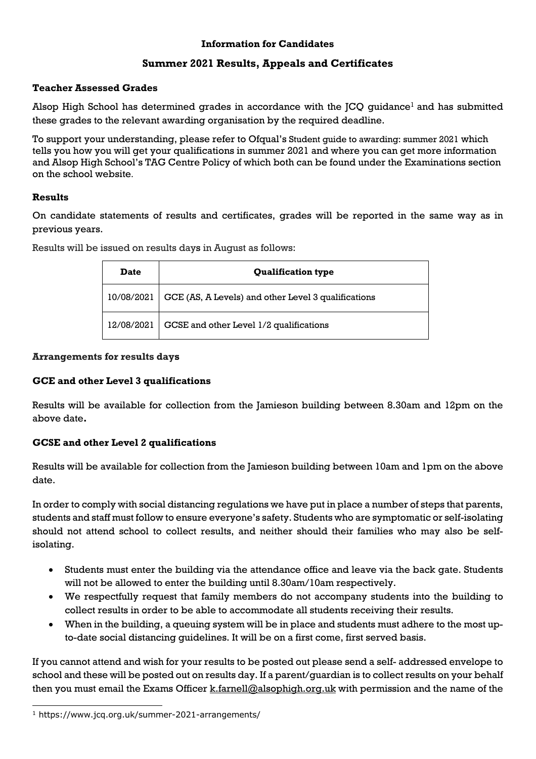## **Information for Candidates**

# **Summer 2021 Results, Appeals and Certificates**

### **Teacher Assessed Grades**

Alsop High School has determined grades in accordance with the JCQ guidance<sup>1</sup> and has submitted these grades to the relevant awarding organisation by the required deadline.

To support your understanding, please refer to Ofqual's Student guide to awarding: summer 2021 which tells you how you will get your qualifications in summer 2021 and where you can get more information and Alsop High School's TAG Centre Policy of which both can be found under the Examinations section on the school website.

## **Results**

On candidate statements of results and certificates, grades will be reported in the same way as in previous years.

| <b>Date</b> | <b>Qualification type</b>                           |
|-------------|-----------------------------------------------------|
| 10/08/2021  | GCE (AS, A Levels) and other Level 3 qualifications |
| 12/08/2021  | GCSE and other Level 1/2 qualifications             |

Results will be issued on results days in August as follows:

### **Arrangements for results days**

### **GCE and other Level 3 qualifications**

Results will be available for collection from the Jamieson building between 8.30am and 12pm on the above date**.**

### **GCSE and other Level 2 qualifications**

Results will be available for collection from the Jamieson building between 10am and 1pm on the above date.

In order to comply with social distancing regulations we have put in place a number of steps that parents, students and staff must follow to ensure everyone's safety. Students who are symptomatic or self-isolating should not attend school to collect results, and neither should their families who may also be selfisolating.

- Students must enter the building via the attendance office and leave via the back gate. Students will not be allowed to enter the building until 8.30am/10am respectively.
- We respectfully request that family members do not accompany students into the building to collect results in order to be able to accommodate all students receiving their results.
- When in the building, a queuing system will be in place and students must adhere to the most upto-date social distancing guidelines. It will be on a first come, first served basis.

If you cannot attend and wish for your results to be posted out please send a self- addressed envelope to school and these will be posted out on results day. If a parent/guardian is to collect results on your behalf then you must email the Exams Officer k.farnell@alsophigh.org.uk with permission and the name of the

<sup>1</sup> https://www.jcq.org.uk/summer-2021-arrangements/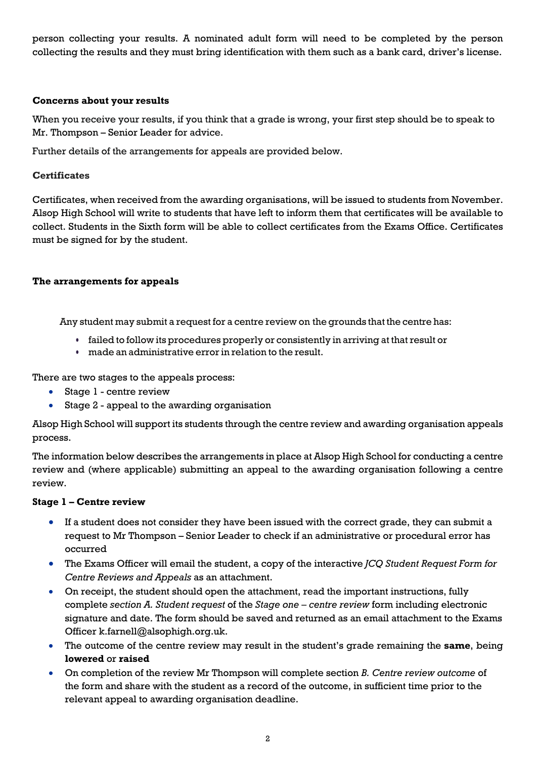person collecting your results. A nominated adult form will need to be completed by the person collecting the results and they must bring identification with them such as a bank card, driver's license.

### **Concerns about your results**

When you receive your results, if you think that a grade is wrong, your first step should be to speak to Mr. Thompson – Senior Leader for advice.

Further details of the arrangements for appeals are provided below.

### **Certificates**

Certificates, when received from the awarding organisations, will be issued to students from November. Alsop High School will write to students that have left to inform them that certificates will be available to collect. Students in the Sixth form will be able to collect certificates from the Exams Office. Certificates must be signed for by the student.

#### **The arrangements for appeals**

Any student may submit a request for a centre review on the grounds that the centre has:

- **•** failed to follow its procedures properly or consistently in arriving at that result or
- **•** made an administrative error in relation to the result.

There are two stages to the appeals process:

- Stage 1 centre review
- Stage 2 appeal to the awarding organisation

Alsop High School will support its students through the centre review and awarding organisation appeals process.

The information below describes the arrangements in place at Alsop High School for conducting a centre review and (where applicable) submitting an appeal to the awarding organisation following a centre review.

#### **Stage 1 – Centre review**

- If a student does not consider they have been issued with the correct grade, they can submit a request to Mr Thompson – Senior Leader to check if an administrative or procedural error has occurred
- The Exams Officer will email the student, a copy of the interactive *JCQ Student Request Form for Centre Reviews and Appeals* as an attachment.
- On receipt, the student should open the attachment, read the important instructions, fully complete *section A. Student request* of the *Stage one – centre review* form including electronic signature and date. The form should be saved and returned as an email attachment to the Exams Officer k.farnell@alsophigh.org.uk.
- The outcome of the centre review may result in the student's grade remaining the **same**, being **lowered** or **raised**
- On completion of the review Mr Thompson will complete section *B. Centre review outcome* of the form and share with the student as a record of the outcome, in sufficient time prior to the relevant appeal to awarding organisation deadline.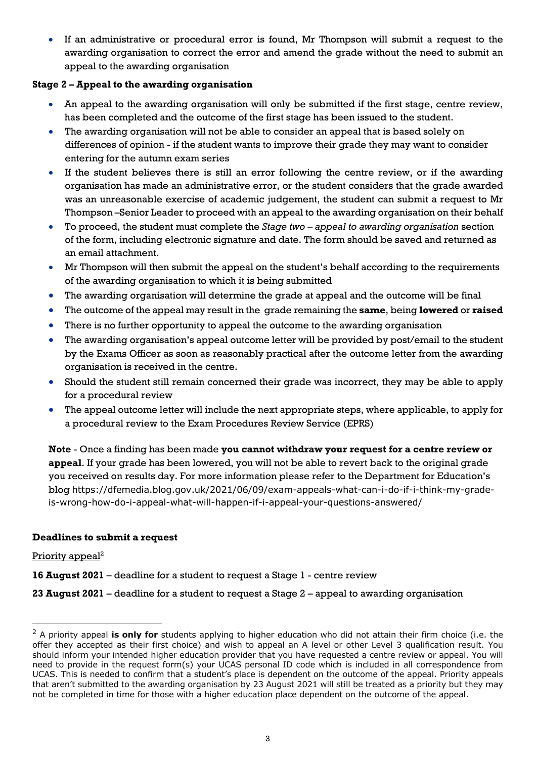• If an administrative or procedural error is found, Mr Thompson will submit a request to the awarding organisation to correct the error and amend the grade without the need to submit an appeal to the awarding organisation

## **Stage 2 – Appeal to the awarding organisation**

- An appeal to the awarding organisation will only be submitted if the first stage, centre review, has been completed and the outcome of the first stage has been issued to the student.
- The awarding organisation will not be able to consider an appeal that is based solely on differences of opinion - if the student wants to improve their grade they may want to consider entering for the autumn exam series
- If the student believes there is still an error following the centre review, or if the awarding organisation has made an administrative error, or the student considers that the grade awarded was an unreasonable exercise of academic judgement, the student can submit a request to Mr Thompson –Senior Leader to proceed with an appeal to the awarding organisation on their behalf
- To proceed, the student must complete the *Stage two – appeal to awarding organisation* section of the form, including electronic signature and date. The form should be saved and returned as an email attachment.
- Mr Thompson will then submit the appeal on the student's behalf according to the requirements of the awarding organisation to which it is being submitted
- The awarding organisation will determine the grade at appeal and the outcome will be final
- The outcome of the appeal may result in the grade remaining the **same**, being **lowered** or **raised**
- There is no further opportunity to appeal the outcome to the awarding organisation
- The awarding organisation's appeal outcome letter will be provided by post/email to the student by the Exams Officer as soon as reasonably practical after the outcome letter from the awarding organisation is received in the centre.
- Should the student still remain concerned their grade was incorrect, they may be able to apply for a procedural review
- The appeal outcome letter will include the next appropriate steps, where applicable, to apply for a procedural review to the Exam Procedures Review Service (EPRS)

**Note** - Once a finding has been made **you cannot withdraw your request for a centre review or appeal**. If your grade has been lowered, you will not be able to revert back to the original grade you received on results day. For more information please refer to the Department for Education's blog https://dfemedia.blog.gov.uk/2021/06/09/exam-appeals-what-can-i-do-if-i-think-my-gradeis-wrong-how-do-i-appeal-what-will-happen-if-i-appeal-your-questions-answered/

### **Deadlines to submit a request**

### Priority appeal<sup>2</sup>

**16 August 2021** – deadline for a student to request a Stage 1 - centre review

### **23 August 2021** – deadline for a student to request a Stage 2 – appeal to awarding organisation

<sup>2</sup> A priority appeal **is only for** students applying to higher education who did not attain their firm choice (i.e. the offer they accepted as their first choice) and wish to appeal an A level or other Level 3 qualification result. You should inform your intended higher education provider that you have requested a centre review or appeal. You will need to provide in the request form(s) your UCAS personal ID code which is included in all correspondence from UCAS. This is needed to confirm that a student's place is dependent on the outcome of the appeal. Priority appeals that aren't submitted to the awarding organisation by 23 August 2021 will still be treated as a priority but they may not be completed in time for those with a higher education place dependent on the outcome of the appeal.